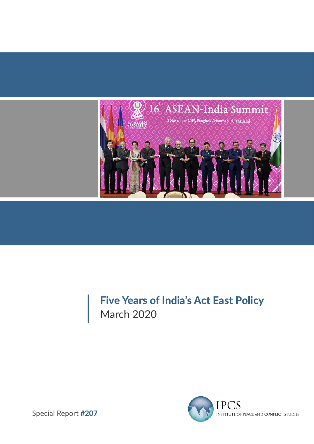

# Five Years of India's Act East Policy March 2020



Special Report #207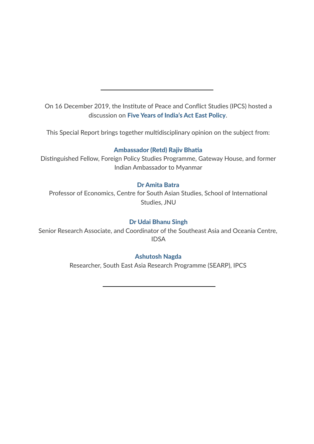On 16 December 2019, the Institute of Peace and Conflict Studies (IPCS) hosted a discussion on Five Years of India's Act East Policy.

This Special Report brings together multidisciplinary opinion on the subject from:

#### Ambassador (Retd) Rajiv Bhatia

Distinguished Fellow, Foreign Policy Studies Programme, Gateway House, and former Indian Ambassador to Myanmar

#### Dr Amita Batra

Professor of Economics, Centre for South Asian Studies, School of International Studies, JNU

#### Dr Udai Bhanu Singh

Senior Research Associate, and Coordinator of the Southeast Asia and Oceania Centre, IDSA

#### Ashutosh Nagda

Researcher, South East Asia Research Programme (SEARP), IPCS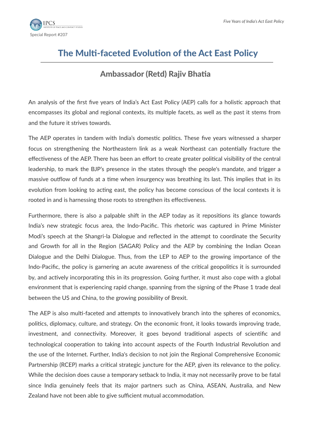# The Multi-faceted Evolution of the Act East Policy

### Ambassador (Retd) Rajiv Bhatia

An analysis of the first five years of India's Act East Policy (AEP) calls for a holistic approach that encompasses its global and regional contexts, its multiple facets, as well as the past it stems from and the future it strives towards.

The AEP operates in tandem with India's domestic politics. These five years witnessed a sharper focus on strengthening the Northeastern link as a weak Northeast can potentially fracture the effectiveness of the AEP. There has been an effort to create greater political visibility of the central leadership, to mark the BJP's presence in the states through the people's mandate, and trigger a massive outflow of funds at a time when insurgency was breathing its last. This implies that in its evolution from looking to acting east, the policy has become conscious of the local contexts it is rooted in and is harnessing those roots to strengthen its effectiveness.

Furthermore, there is also a palpable shift in the AEP today as it repositions its glance towards India's new strategic focus area, the Indo-Pacific. This rhetoric was captured in Prime Minister Modi's speech at the Shangri-la Dialogue and reflected in the attempt to coordinate the Security and Growth for all in the Region (SAGAR) Policy and the AEP by combining the Indian Ocean Dialogue and the Delhi Dialogue. Thus, from the LEP to AEP to the growing importance of the Indo-Pacific, the policy is garnering an acute awareness of the critical geopolitics it is surrounded by, and actively incorporating this in its progression. Going further, it must also cope with a global environment that is experiencing rapid change, spanning from the signing of the Phase 1 trade deal between the US and China, to the growing possibility of Brexit.

The AEP is also multi-faceted and attempts to innovatively branch into the spheres of economics, politics, diplomacy, culture, and strategy. On the economic front, it looks towards improving trade, investment, and connectivity. Moreover, it goes beyond traditional aspects of scientific and technological cooperation to taking into account aspects of the Fourth Industrial Revolution and the use of the Internet. Further, India's decision to not join the Regional Comprehensive Economic Partnership (RCEP) marks a critical strategic juncture for the AEP, given its relevance to the policy. While the decision does cause a temporary setback to India, it may not necessarily prove to be fatal since India genuinely feels that its major partners such as China, ASEAN, Australia, and New Zealand have not been able to give sufficient mutual accommodation.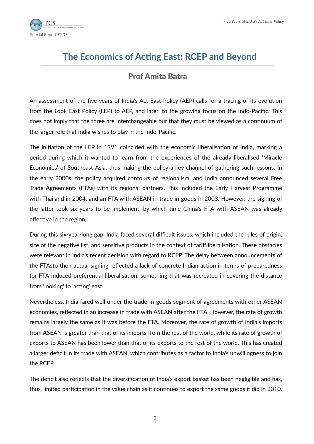

# The Economics of Acting East: RCEP and Beyond

### Prof Amita Batra

An assessment of the five years of India's Act East Policy (AEP) calls for a tracing of its evolution from the Look East Policy (LEP) to AEP, and later, to the growing focus on the Indo-Pacific. This does not imply that the three are interchangeable but that they must be viewed as a continuum of the larger role that India wishes to play in the Indo-Pacific.

The initiation of the LEP in 1991 coincided with the economic liberalisation of India, marking a period during which it wanted to learn from the experiences of the already liberalised 'Miracle Economies' of Southeast Asia, thus making the policy a key channel of gathering such lessons. In the early 2000s, the policy acquired contours of regionalism, and India announced several Free Trade Agreements (FTAs) with its regional partners. This included the Early Harvest Programme with Thailand in 2004, and an FTA with ASEAN in trade in goods in 2003. However, the signing of the latter took six years to be implement, by which time China's FTA with ASEAN was already effective in the region.

During this six-year-long gap, India faced several difficult issues, which included the rules of origin, size of the negative list, and sensitive products in the context of tariffliberalisation. These obstacles were relevant in India's recent decision with regard to RCEP. The delay between announcements of the FTAsto their actual signing reflected a lack of concrete Indian action in terms of preparedness for FTA-induced preferential liberalisation, something that was recreated in covering the distance from 'looking' to 'acting' east.

Nevertheless, India fared well under the trade-in-goods segment of agreements with other ASEAN economies, reflected in an increase in trade with ASEAN after the FTA. However, the rate of growth remains largely the same as it was before the FTA. Moreover, the rate of growth of India's imports from ASEAN is greater than that of its imports from the rest of the world, while its rate of growth of exports to ASEAN has been lower than that of its exports to the rest of the world. This has created a larger deficit in its trade with ASEAN, which contributes as a factor to India's unwillingness to join the RCEP.

The deficit also reflects that the diversification of India's export basket has been negligible and has, thus, limited participation in the value chain as it continues to export the same goods it did in 2010.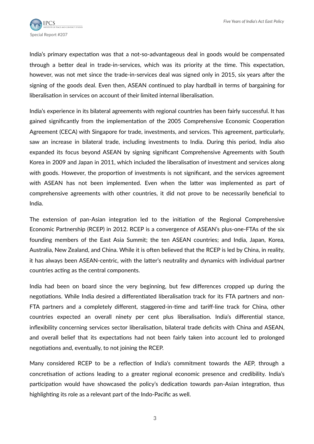

India's primary expectation was that a not-so-advantageous deal in goods would be compensated through a better deal in trade-in-services, which was its priority at the time. This expectation, however, was not met since the trade-in-services deal was signed only in 2015, six years after the signing of the goods deal. Even then, ASEAN continued to play hardball in terms of bargaining for liberalisation in services on account of their limited internal liberalisation.

India's experience in its bilateral agreements with regional countries has been fairly successful. It has gained significantly from the implementation of the 2005 Comprehensive Economic Cooperation Agreement (CECA) with Singapore for trade, investments, and services. This agreement, particularly, saw an increase in bilateral trade, including investments to India. During this period, India also expanded its focus beyond ASEAN by signing significant Comprehensive Agreements with South Korea in 2009 and Japan in 2011, which included the liberalisation of investment and services along with goods. However, the proportion of investments is not significant, and the services agreement with ASEAN has not been implemented. Even when the latter was implemented as part of comprehensive agreements with other countries, it did not prove to be necessarily beneficial to India.

The extension of pan-Asian integration led to the initiation of the Regional Comprehensive Economic Partnership (RCEP) in 2012. RCEP is a convergence of ASEAN's plus-one-FTAs of the six founding members of the East Asia Summit; the ten ASEAN countries; and India, Japan, Korea, Australia, New Zealand, and China. While it is often believed that the RCEP is led by China, in reality, it has always been ASEAN-centric, with the latter's neutrality and dynamics with individual partner countries acting as the central components.

India had been on board since the very beginning, but few differences cropped up during the negotiations. While India desired a differentiated liberalisation track for its FTA partners and non-FTA partners and a completely different, staggered-in-time and tariff-line track for China, other countries expected an overall ninety per cent plus liberalisation. India's differential stance, inflexibility concerning services sector liberalisation, bilateral trade deficits with China and ASEAN, and overall belief that its expectations had not been fairly taken into account led to prolonged negotiations and, eventually, to not joining the RCEP.

Many considered RCEP to be a reflection of India's commitment towards the AEP, through a concretisation of actions leading to a greater regional economic presence and credibility. India's participation would have showcased the policy's dedication towards pan-Asian integration, thus highlighting its role as a relevant part of the Indo-Pacific as well.

3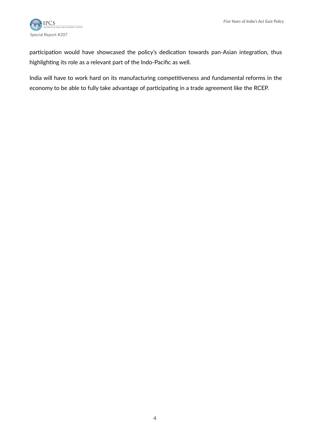

participation would have showcased the policy's dedication towards pan-Asian integration, thus highlighting its role as a relevant part of the Indo-Pacific as well.

India will have to work hard on its manufacturing competitiveness and fundamental reforms in the economy to be able to fully take advantage of participating in a trade agreement like the RCEP.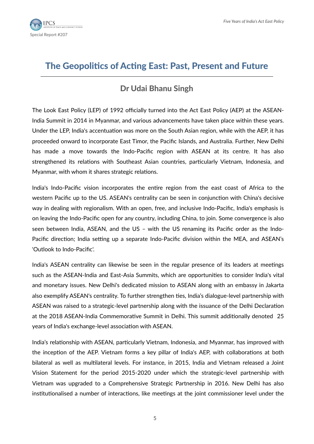## The Geopolitics of Acting East: Past, Present and Future

### Dr Udai Bhanu Singh

The Look East Policy (LEP) of 1992 officially turned into the Act East Policy (AEP) at the ASEAN-India Summit in 2014 in Myanmar, and various advancements have taken place within these years. Under the LEP, India's accentuation was more on the South Asian region, while with the AEP, it has proceeded onward to incorporate East Timor, the Pacific Islands, and Australia. Further, New Delhi has made a move towards the Indo-Pacific region with ASEAN at its centre. It has also strengthened its relations with Southeast Asian countries, particularly Vietnam, Indonesia, and Myanmar, with whom it shares strategic relations.

India's Indo-Pacific vision incorporates the entire region from the east coast of Africa to the western Pacific up to the US. ASEAN's centrality can be seen in conjunction with China's decisive way in dealing with regionalism. With an open, free, and inclusive Indo-Pacific, India's emphasis is on leaving the Indo-Pacific open for any country, including China, to join. Some convergence is also seen between India, ASEAN, and the US – with the US renaming its Pacific order as the Indo-Pacific direction; India setting up a separate Indo-Pacific division within the MEA, and ASEAN's 'Outlook to Indo-Pacific'.

India's ASEAN centrality can likewise be seen in the regular presence of its leaders at meetings such as the ASEAN-India and East-Asia Summits, which are opportunities to consider India's vital and monetary issues. New Delhi's dedicated mission to ASEAN along with an embassy in Jakarta also exemplify ASEAN's centrality. To further strengthen ties, India's dialogue-level partnership with ASEAN was raised to a strategic-level partnership along with the issuance of the Delhi Declaration at the 2018 ASEAN-India Commemorative Summit in Delhi. This summit additionally denoted 25 years of India's exchange-level association with ASEAN.

India's relationship with ASEAN, particularly Vietnam, Indonesia, and Myanmar, has improved with the inception of the AEP. Vietnam forms a key pillar of India's AEP, with collaborations at both bilateral as well as multilateral levels. For instance, in 2015, India and Vietnam released a Joint Vision Statement for the period 2015-2020 under which the strategic-level partnership with Vietnam was upgraded to a Comprehensive Strategic Partnership in 2016. New Delhi has also institutionalised a number of interactions, like meetings at the joint commissioner level under the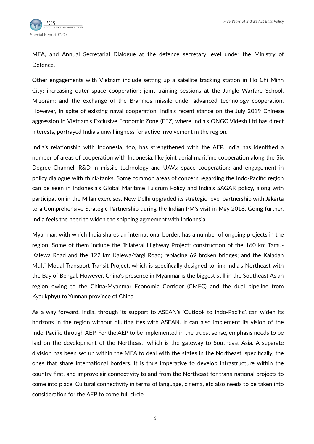

MEA, and Annual Secretarial Dialogue at the defence secretary level under the Ministry of Defence.

Other engagements with Vietnam include setting up a satellite tracking station in Ho Chi Minh City; increasing outer space cooperation; joint training sessions at the Jungle Warfare School, Mizoram; and the exchange of the Brahmos missile under advanced technology cooperation. However, in spite of existing naval cooperation, India's recent stance on the July 2019 Chinese aggression in Vietnam's Exclusive Economic Zone (EEZ) where India's ONGC Videsh Ltd has direct interests, portrayed India's unwillingness for active involvement in the region.

India's relationship with Indonesia, too, has strengthened with the AEP. India has identified a number of areas of cooperation with Indonesia, like joint aerial maritime cooperation along the Six Degree Channel; R&D in missile technology and UAVs; space cooperation; and engagement in policy dialogue with think-tanks. Some common areas of concern regarding the Indo-Pacific region can be seen in Indonesia's Global Maritime Fulcrum Policy and India's SAGAR policy, along with participation in the Milan exercises. New Delhi upgraded its strategic-level partnership with Jakarta to a Comprehensive Strategic Partnership during the Indian PM's visit in May 2018. Going further, India feels the need to widen the shipping agreement with Indonesia.

Myanmar, with which India shares an international border, has a number of ongoing projects in the region. Some of them include the Trilateral Highway Project; construction of the 160 km Tamu-Kalewa Road and the 122 km Kalewa-Yargi Road; replacing 69 broken bridges; and the Kaladan Multi-Modal Transport Transit Project, which is specifically designed to link India's Northeast with the Bay of Bengal. However, China's presence in Myanmar is the biggest still in the Southeast Asian region owing to the China-Myanmar Economic Corridor (CMEC) and the dual pipeline from Kyaukphyu to Yunnan province of China.

As a way forward, India, through its support to ASEAN's 'Outlook to Indo-Pacific', can widen its horizons in the region without diluting ties with ASEAN. It can also implement its vision of the Indo-Pacific through AEP. For the AEP to be implemented in the truest sense, emphasis needs to be laid on the development of the Northeast, which is the gateway to Southeast Asia. A separate division has been set up within the MEA to deal with the states in the Northeast, specifically, the ones that share international borders. It is thus imperative to develop infrastructure within the country first, and improve air connectivity to and from the Northeast for trans-national projects to come into place. Cultural connectivity in terms of language, cinema, etc also needs to be taken into consideration for the AEP to come full circle.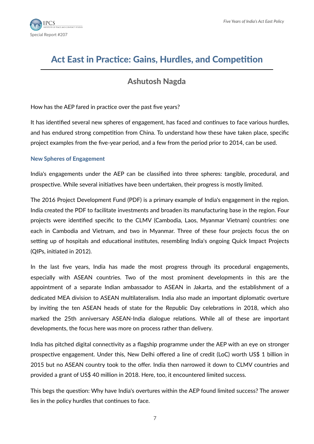

# Act East in Practice: Gains, Hurdles, and Competition

### Ashutosh Nagda

How has the AEP fared in practice over the past five years?

It has identified several new spheres of engagement, has faced and continues to face various hurdles, and has endured strong competition from China. To understand how these have taken place, specific project examples from the five-year period, and a few from the period prior to 2014, can be used.

#### New Spheres of Engagement

India's engagements under the AEP can be classified into three spheres: tangible, procedural, and prospective. While several initiatives have been undertaken, their progress is mostly limited.

The 2016 Project Development Fund (PDF) is a primary example of India's engagement in the region. India created the PDF to facilitate investments and broaden its manufacturing base in the region. Four projects were identified specific to the CLMV (Cambodia, Laos, Myanmar Vietnam) countries: one each in Cambodia and Vietnam, and two in Myanmar. Three of these four projects focus the on setting up of hospitals and educational institutes, resembling India's ongoing Quick Impact Projects (OIPs, initiated in 2012).

In the last five years, India has made the most progress through its procedural engagements, especially with ASEAN countries. Two of the most prominent developments in this are the appointment of a separate Indian ambassador to ASEAN in Jakarta, and the establishment of a dedicated MEA division to ASEAN multilateralism. India also made an important diplomatic overture by inviting the ten ASEAN heads of state for the Republic Day celebrations in 2018, which also marked the 25th anniversary ASEAN-India dialogue relations. While all of these are important developments, the focus here was more on process rather than delivery.

India has pitched digital connectivity as a flagship programme under the AEP with an eye on stronger prospective engagement. Under this, New Delhi offered a line of credit (LoC) worth US\$ 1 billion in 2015 but no ASEAN country took to the offer. India then narrowed it down to CLMV countries and provided a grant of US\$ 40 million in 2018. Here, too, it encountered limited success.

This begs the question: Why have India's overtures within the AEP found limited success? The answer lies in the policy hurdles that continues to face.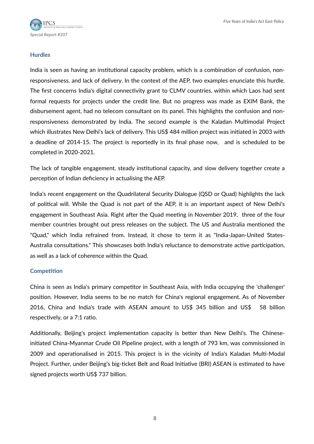#### **Hurdles**

India is seen as having an institutional capacity problem, which is a combination of confusion, nonresponsiveness, and lack of delivery. In the context of the AEP, two examples enunciate this hurdle. The first concerns India's digital connectivity grant to CLMV countries, within which Laos had sent formal requests for projects under the credit line. But no progress was made as EXIM Bank, the disbursement agent, had no telecom consultant on its panel. This highlights the confusion and nonresponsiveness demonstrated by India. The second example is the Kaladan Multimodal Project which illustrates New Delhi's lack of delivery. This US\$ 484 million project was initiated in 2003 with a deadline of 2014-15. The project is reportedly in its final phase now, and is scheduled to be completed in 2020-2021.

The lack of tangible engagement, steady institutional capacity, and slow delivery together create a perception of Indian deficiency in actualising the AEP.

India's recent engagement on the Quadrilateral Security Dialogue (QSD or Quad) highlights the lack of political will. While the Quad is not part of the AEP, it is an important aspect of New Delhi's engagement in Southeast Asia. Right after the Quad meeting in November 2019, three of the four member countries brought out press releases on the subject. The US and Australia mentioned the "Quad," which India refrained from. Instead, it chose to term it as "India-Japan-United States-Australia consultations." This showcases both India's reluctance to demonstrate active participation, as well as a lack of coherence within the Quad.

#### Competition

China is seen as India's primary competitor in Southeast Asia, with India occupying the 'challenger' position. However, India seems to be no match for China's regional engagement. As of November 2016, China and India's trade with ASEAN amount to US\$ 345 billion and US\$ 58 billion respectively, or a 7:1 ratio.

Additionally, Beijing's project implementation capacity is better than New Delhi's. The Chineseinitiated China-Myanmar Crude Oil Pipeline project, with a length of 793 km, was commissioned in 2009 and operationalised in 2015. This project is in the vicinity of India's Kaladan Multi-Modal Project. Further, under Beijing's big-ticket Belt and Road Initiative (BRI) ASEAN is estimated to have signed projects worth US\$ 737 billion.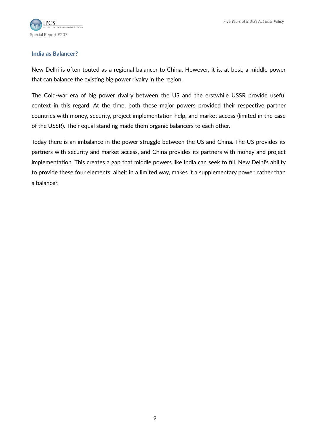#### India as Balancer?

New Delhi is often touted as a regional balancer to China. However, it is, at best, a middle power that can balance the existing big power rivalry in the region.

The Cold-war era of big power rivalry between the US and the erstwhile USSR provide useful context in this regard. At the time, both these major powers provided their respective partner countries with money, security, project implementation help, and market access (limited in the case of the USSR). Their equal standing made them organic balancers to each other.

Today there is an imbalance in the power struggle between the US and China. The US provides its partners with security and market access, and China provides its partners with money and project implementation. This creates a gap that middle powers like India can seek to fill. New Delhi's ability to provide these four elements, albeit in a limited way, makes it a supplementary power, rather than a balancer.